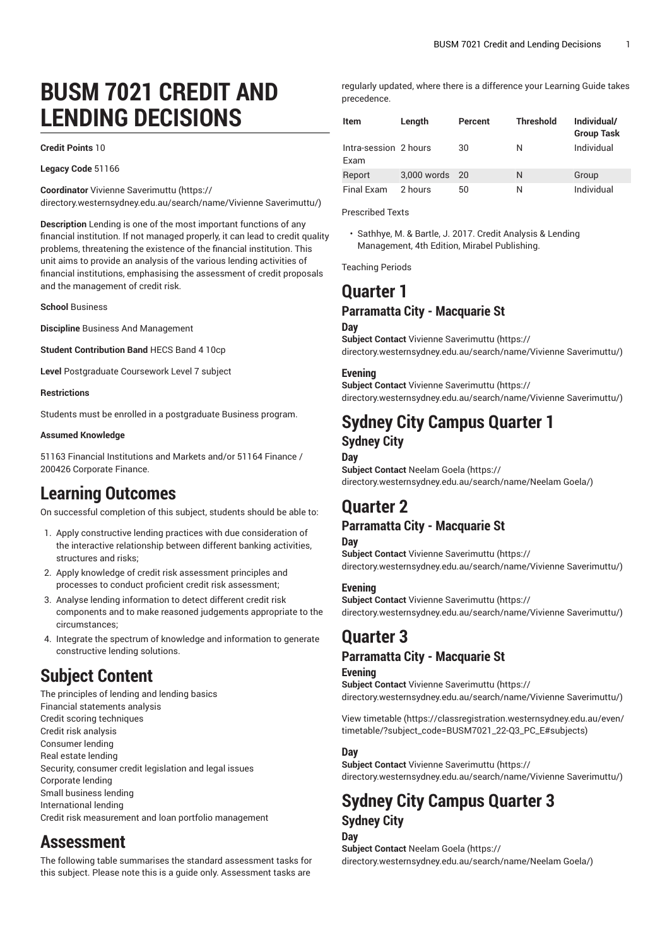# **BUSM 7021 CREDIT AND LENDING DECISIONS**

#### **Credit Points** 10

**Legacy Code** 51166

**Coordinator** Vivienne [Saverimuttu](https://directory.westernsydney.edu.au/search/name/Vivienne Saverimuttu/) ([https://](https://directory.westernsydney.edu.au/search/name/Vivienne Saverimuttu/)

[directory.westernsydney.edu.au/search/name/Vivienne](https://directory.westernsydney.edu.au/search/name/Vivienne Saverimuttu/) Saverimuttu/)

**Description** Lending is one of the most important functions of any financial institution. If not managed properly, it can lead to credit quality problems, threatening the existence of the financial institution. This unit aims to provide an analysis of the various lending activities of financial institutions, emphasising the assessment of credit proposals and the management of credit risk.

**School** Business

**Discipline** Business And Management

**Student Contribution Band** HECS Band 4 10cp

**Level** Postgraduate Coursework Level 7 subject

#### **Restrictions**

Students must be enrolled in a postgraduate Business program.

#### **Assumed Knowledge**

51163 Financial Institutions and Markets and/or 51164 Finance / 200426 Corporate Finance.

# **Learning Outcomes**

On successful completion of this subject, students should be able to:

- 1. Apply constructive lending practices with due consideration of the interactive relationship between different banking activities, structures and risks;
- 2. Apply knowledge of credit risk assessment principles and processes to conduct proficient credit risk assessment;
- 3. Analyse lending information to detect different credit risk components and to make reasoned judgements appropriate to the circumstances;
- 4. Integrate the spectrum of knowledge and information to generate constructive lending solutions.

# **Subject Content**

The principles of lending and lending basics Financial statements analysis Credit scoring techniques Credit risk analysis Consumer lending Real estate lending Security, consumer credit legislation and legal issues Corporate lending Small business lending International lending Credit risk measurement and loan portfolio management

# **Assessment**

The following table summarises the standard assessment tasks for this subject. Please note this is a guide only. Assessment tasks are

regularly updated, where there is a difference your Learning Guide takes precedence.

| Item                          | Length      | Percent | <b>Threshold</b> | Individual/<br><b>Group Task</b> |
|-------------------------------|-------------|---------|------------------|----------------------------------|
| Intra-session 2 hours<br>Exam |             | 30      | N                | Individual                       |
| Report                        | 3,000 words | 20      | N                | Group                            |
| Final Exam                    | 2 hours     | 50      | N                | Individual                       |

Prescribed Texts

• Sathhye, M. & Bartle, J. 2017. Credit Analysis & Lending Management, 4th Edition, Mirabel Publishing.

Teaching Periods

# **Quarter 1**

## **Parramatta City - Macquarie St**

#### **Day**

**Subject Contact** Vivienne [Saverimuttu](https://directory.westernsydney.edu.au/search/name/Vivienne Saverimuttu/) ([https://](https://directory.westernsydney.edu.au/search/name/Vivienne Saverimuttu/) [directory.westernsydney.edu.au/search/name/Vivienne](https://directory.westernsydney.edu.au/search/name/Vivienne Saverimuttu/) Saverimuttu/)

### **Evening**

**Subject Contact** Vivienne [Saverimuttu](https://directory.westernsydney.edu.au/search/name/Vivienne Saverimuttu/) ([https://](https://directory.westernsydney.edu.au/search/name/Vivienne Saverimuttu/) [directory.westernsydney.edu.au/search/name/Vivienne](https://directory.westernsydney.edu.au/search/name/Vivienne Saverimuttu/) Saverimuttu/)

# **Sydney City Campus Quarter 1**

## **Sydney City Day**

**Subject Contact** [Neelam Goela \(https://](https://directory.westernsydney.edu.au/search/name/Neelam Goela/) [directory.westernsydney.edu.au/search/name/Neelam](https://directory.westernsydney.edu.au/search/name/Neelam Goela/) Goela/)

## **Quarter 2**

## **Parramatta City - Macquarie St**

**Day Subject Contact** Vivienne [Saverimuttu](https://directory.westernsydney.edu.au/search/name/Vivienne Saverimuttu/) ([https://](https://directory.westernsydney.edu.au/search/name/Vivienne Saverimuttu/) [directory.westernsydney.edu.au/search/name/Vivienne](https://directory.westernsydney.edu.au/search/name/Vivienne Saverimuttu/) Saverimuttu/)

### **Evening**

**Subject Contact** Vivienne [Saverimuttu](https://directory.westernsydney.edu.au/search/name/Vivienne Saverimuttu/) ([https://](https://directory.westernsydney.edu.au/search/name/Vivienne Saverimuttu/) [directory.westernsydney.edu.au/search/name/Vivienne](https://directory.westernsydney.edu.au/search/name/Vivienne Saverimuttu/) Saverimuttu/)

# **Quarter 3**

## **Parramatta City - Macquarie St**

#### **Evening**

**Subject Contact** Vivienne [Saverimuttu](https://directory.westernsydney.edu.au/search/name/Vivienne Saverimuttu/) ([https://](https://directory.westernsydney.edu.au/search/name/Vivienne Saverimuttu/) [directory.westernsydney.edu.au/search/name/Vivienne](https://directory.westernsydney.edu.au/search/name/Vivienne Saverimuttu/) Saverimuttu/)

[View timetable](https://classregistration.westernsydney.edu.au/even/timetable/?subject_code=BUSM7021_22-Q3_PC_E#subjects) [\(https://classregistration.westernsydney.edu.au/even/](https://classregistration.westernsydney.edu.au/even/timetable/?subject_code=BUSM7021_22-Q3_PC_E#subjects) [timetable/?subject\\_code=BUSM7021\\_22-Q3\\_PC\\_E#subjects\)](https://classregistration.westernsydney.edu.au/even/timetable/?subject_code=BUSM7021_22-Q3_PC_E#subjects)

### **Day**

## **Subject Contact** Vivienne [Saverimuttu](https://directory.westernsydney.edu.au/search/name/Vivienne Saverimuttu/) ([https://](https://directory.westernsydney.edu.au/search/name/Vivienne Saverimuttu/)

[directory.westernsydney.edu.au/search/name/Vivienne](https://directory.westernsydney.edu.au/search/name/Vivienne Saverimuttu/) Saverimuttu/)

# **Sydney City Campus Quarter 3 Sydney City**

**Day Subject Contact** [Neelam Goela \(https://](https://directory.westernsydney.edu.au/search/name/Neelam Goela/) [directory.westernsydney.edu.au/search/name/Neelam](https://directory.westernsydney.edu.au/search/name/Neelam Goela/) Goela/)